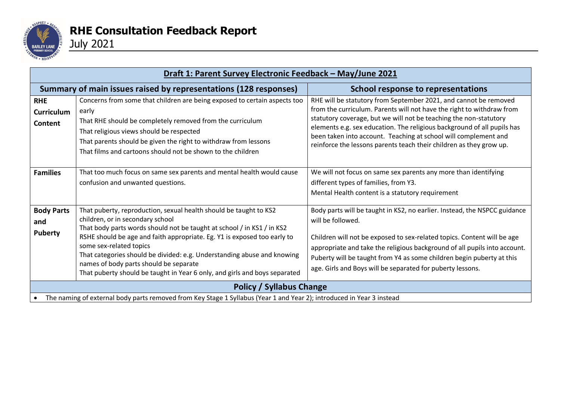

| Draft 1: Parent Survey Electronic Feedback - May/June 2021                                                            |                                                                                                                                                                                                                                                                                                                                                                                                                                                                                           |                                                                                                                                                                                                                                                                                                                                                                                                                                     |  |  |  |
|-----------------------------------------------------------------------------------------------------------------------|-------------------------------------------------------------------------------------------------------------------------------------------------------------------------------------------------------------------------------------------------------------------------------------------------------------------------------------------------------------------------------------------------------------------------------------------------------------------------------------------|-------------------------------------------------------------------------------------------------------------------------------------------------------------------------------------------------------------------------------------------------------------------------------------------------------------------------------------------------------------------------------------------------------------------------------------|--|--|--|
|                                                                                                                       | Summary of main issues raised by representations (128 responses)                                                                                                                                                                                                                                                                                                                                                                                                                          | School response to representations                                                                                                                                                                                                                                                                                                                                                                                                  |  |  |  |
| <b>RHE</b><br><b>Curriculum</b><br>Content                                                                            | Concerns from some that children are being exposed to certain aspects too<br>early<br>That RHE should be completely removed from the curriculum<br>That religious views should be respected<br>That parents should be given the right to withdraw from lessons<br>That films and cartoons should not be shown to the children                                                                                                                                                             | RHE will be statutory from September 2021, and cannot be removed<br>from the curriculum. Parents will not have the right to withdraw from<br>statutory coverage, but we will not be teaching the non-statutory<br>elements e.g. sex education. The religious background of all pupils has<br>been taken into account. Teaching at school will complement and<br>reinforce the lessons parents teach their children as they grow up. |  |  |  |
| <b>Families</b>                                                                                                       | That too much focus on same sex parents and mental health would cause<br>confusion and unwanted questions.                                                                                                                                                                                                                                                                                                                                                                                | We will not focus on same sex parents any more than identifying<br>different types of families, from Y3.<br>Mental Health content is a statutory requirement                                                                                                                                                                                                                                                                        |  |  |  |
| <b>Body Parts</b><br>and<br><b>Puberty</b>                                                                            | That puberty, reproduction, sexual health should be taught to KS2<br>children, or in secondary school<br>That body parts words should not be taught at school / in KS1 / in KS2<br>RSHE should be age and faith appropriate. Eg. Y1 is exposed too early to<br>some sex-related topics<br>That categories should be divided: e.g. Understanding abuse and knowing<br>names of body parts should be separate<br>That puberty should be taught in Year 6 only, and girls and boys separated | Body parts will be taught in KS2, no earlier. Instead, the NSPCC guidance<br>will be followed.<br>Children will not be exposed to sex-related topics. Content will be age<br>appropriate and take the religious background of all pupils into account.<br>Puberty will be taught from Y4 as some children begin puberty at this<br>age. Girls and Boys will be separated for puberty lessons.                                       |  |  |  |
| <b>Policy / Syllabus Change</b>                                                                                       |                                                                                                                                                                                                                                                                                                                                                                                                                                                                                           |                                                                                                                                                                                                                                                                                                                                                                                                                                     |  |  |  |
| The naming of external body parts removed from Key Stage 1 Syllabus (Year 1 and Year 2); introduced in Year 3 instead |                                                                                                                                                                                                                                                                                                                                                                                                                                                                                           |                                                                                                                                                                                                                                                                                                                                                                                                                                     |  |  |  |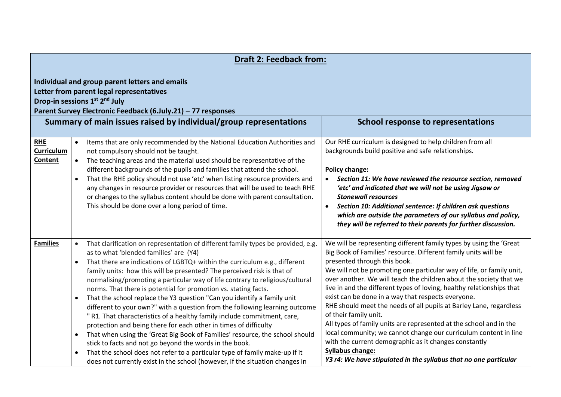| <b>Draft 2: Feedback from:</b>                                                                                                                                                                                                                                                                                                        |                                                               |                                                                                                                                                                                                                                                                                                                                                                                                                                                                                                                                                                                                                                                                                                                                                                                                                                                                                                                                                                                                                                                            |                                                                                                                                                                                                                                                                                                                                                                                                                                                                                                                                                                                                                                                                                                                                                                                                                                                    |  |
|---------------------------------------------------------------------------------------------------------------------------------------------------------------------------------------------------------------------------------------------------------------------------------------------------------------------------------------|---------------------------------------------------------------|------------------------------------------------------------------------------------------------------------------------------------------------------------------------------------------------------------------------------------------------------------------------------------------------------------------------------------------------------------------------------------------------------------------------------------------------------------------------------------------------------------------------------------------------------------------------------------------------------------------------------------------------------------------------------------------------------------------------------------------------------------------------------------------------------------------------------------------------------------------------------------------------------------------------------------------------------------------------------------------------------------------------------------------------------------|----------------------------------------------------------------------------------------------------------------------------------------------------------------------------------------------------------------------------------------------------------------------------------------------------------------------------------------------------------------------------------------------------------------------------------------------------------------------------------------------------------------------------------------------------------------------------------------------------------------------------------------------------------------------------------------------------------------------------------------------------------------------------------------------------------------------------------------------------|--|
| Individual and group parent letters and emails<br>Letter from parent legal representatives<br>Drop-in sessions 1 <sup>st</sup> 2 <sup>nd</sup> July<br>Parent Survey Electronic Feedback (6.July.21) - 77 responses<br>Summary of main issues raised by individual/group representations<br><b>School response to representations</b> |                                                               |                                                                                                                                                                                                                                                                                                                                                                                                                                                                                                                                                                                                                                                                                                                                                                                                                                                                                                                                                                                                                                                            |                                                                                                                                                                                                                                                                                                                                                                                                                                                                                                                                                                                                                                                                                                                                                                                                                                                    |  |
| <b>RHE</b><br><b>Curriculum</b><br>Content                                                                                                                                                                                                                                                                                            | $\bullet$<br>$\bullet$<br>$\bullet$                           | Items that are only recommended by the National Education Authorities and<br>not compulsory should not be taught.<br>The teaching areas and the material used should be representative of the<br>different backgrounds of the pupils and families that attend the school.<br>That the RHE policy should not use 'etc' when listing resource providers and<br>any changes in resource provider or resources that will be used to teach RHE<br>or changes to the syllabus content should be done with parent consultation.<br>This should be done over a long period of time.                                                                                                                                                                                                                                                                                                                                                                                                                                                                                | Our RHE curriculum is designed to help children from all<br>backgrounds build positive and safe relationships.<br>Policy change:<br>Section 11: We have reviewed the resource section, removed<br>$\bullet$<br>'etc' and indicated that we will not be using Jigsaw or<br><b>Stonewall resources</b><br>Section 10: Additional sentence: If children ask questions<br>$\bullet$<br>which are outside the parameters of our syllabus and policy,<br>they will be referred to their parents for further discussion.                                                                                                                                                                                                                                                                                                                                  |  |
| <b>Families</b>                                                                                                                                                                                                                                                                                                                       | $\bullet$<br>$\bullet$<br>$\bullet$<br>$\bullet$<br>$\bullet$ | That clarification on representation of different family types be provided, e.g.<br>as to what 'blended families' are (Y4)<br>That there are indications of LGBTQ+ within the curriculum e.g., different<br>family units: how this will be presented? The perceived risk is that of<br>normalising/promoting a particular way of life contrary to religious/cultural<br>norms. That there is potential for promotion vs. stating facts.<br>That the school replace the Y3 question "Can you identify a family unit<br>different to your own?" with a question from the following learning outcome<br>"R1. That characteristics of a healthy family include commitment, care,<br>protection and being there for each other in times of difficulty<br>That when using the 'Great Big Book of Families' resource, the school should<br>stick to facts and not go beyond the words in the book.<br>That the school does not refer to a particular type of family make-up if it<br>does not currently exist in the school (however, if the situation changes in | We will be representing different family types by using the 'Great<br>Big Book of Families' resource. Different family units will be<br>presented through this book.<br>We will not be promoting one particular way of life, or family unit,<br>over another. We will teach the children about the society that we<br>live in and the different types of loving, healthy relationships that<br>exist can be done in a way that respects everyone.<br>RHE should meet the needs of all pupils at Barley Lane, regardless<br>of their family unit.<br>All types of family units are represented at the school and in the<br>local community; we cannot change our curriculum content in line<br>with the current demographic as it changes constantly<br><b>Syllabus change:</b><br>Y3 r4: We have stipulated in the syllabus that no one particular |  |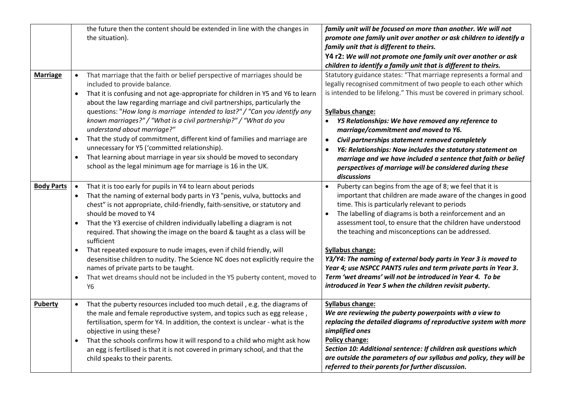|                   | the future then the content should be extended in line with the changes in<br>the situation).                                                                                                                                                                                                                                                                                                                                                                                                                                                                                                                                                                                                                                                                                            | family unit will be focused on more than another. We will not<br>promote one family unit over another or ask children to identify a<br>family unit that is different to theirs.<br>Y4 r2: We will not promote one family unit over another or ask<br>children to identify a family unit that is different to theirs.                                                                                                                                                                                                                                                                                                                                                           |
|-------------------|------------------------------------------------------------------------------------------------------------------------------------------------------------------------------------------------------------------------------------------------------------------------------------------------------------------------------------------------------------------------------------------------------------------------------------------------------------------------------------------------------------------------------------------------------------------------------------------------------------------------------------------------------------------------------------------------------------------------------------------------------------------------------------------|--------------------------------------------------------------------------------------------------------------------------------------------------------------------------------------------------------------------------------------------------------------------------------------------------------------------------------------------------------------------------------------------------------------------------------------------------------------------------------------------------------------------------------------------------------------------------------------------------------------------------------------------------------------------------------|
| <b>Marriage</b>   | That marriage that the faith or belief perspective of marriages should be<br>$\bullet$<br>included to provide balance.<br>That it is confusing and not age-appropriate for children in Y5 and Y6 to learn<br>$\bullet$<br>about the law regarding marriage and civil partnerships, particularly the<br>questions: "How long is marriage intended to last?" / "Can you identify any<br>known marriages?" / "What is a civil partnership?" / "What do you<br>understand about marriage?"<br>That the study of commitment, different kind of families and marriage are<br>$\bullet$<br>unnecessary for Y5 ('committed relationship).<br>That learning about marriage in year six should be moved to secondary<br>$\bullet$<br>school as the legal minimum age for marriage is 16 in the UK. | Statutory guidance states: "That marriage represents a formal and<br>legally recognised commitment of two people to each other which<br>is intended to be lifelong." This must be covered in primary school.<br><b>Syllabus change:</b><br>Y5 Relationships: We have removed any reference to<br>$\bullet$<br>marriage/commitment and moved to Y6.<br>Civil partnerships statement removed completely<br>$\bullet$<br>Y6: Relationships: Now includes the statutory statement on<br>$\bullet$<br>marriage and we have included a sentence that faith or belief<br>perspectives of marriage will be considered during these<br>discussions                                      |
| <b>Body Parts</b> | That it is too early for pupils in Y4 to learn about periods<br>$\bullet$<br>That the naming of external body parts in Y3 "penis, vulva, buttocks and<br>$\bullet$<br>chest" is not appropriate, child-friendly, faith-sensitive, or statutory and<br>should be moved to Y4<br>That the Y3 exercise of children individually labelling a diagram is not<br>required. That showing the image on the board & taught as a class will be<br>sufficient<br>That repeated exposure to nude images, even if child friendly, will<br>$\bullet$<br>desensitise children to nudity. The Science NC does not explicitly require the<br>names of private parts to be taught.<br>That wet dreams should not be included in the Y5 puberty content, moved to<br>$\bullet$<br>Y6                        | Puberty can begins from the age of 8; we feel that it is<br>$\bullet$<br>important that children are made aware of the changes in good<br>time. This is particularly relevant to periods<br>The labelling of diagrams is both a reinforcement and an<br>$\bullet$<br>assessment tool, to ensure that the children have understood<br>the teaching and misconceptions can be addressed.<br><b>Syllabus change:</b><br>Y3/Y4: The naming of external body parts in Year 3 is moved to<br>Year 4; use NSPCC PANTS rules and term private parts in Year 3.<br>Term 'wet dreams' will not be introduced in Year 4. To be<br>introduced in Year 5 when the children revisit puberty. |
| <b>Puberty</b>    | That the puberty resources included too much detail, e.g. the diagrams of<br>$\bullet$<br>the male and female reproductive system, and topics such as egg release,<br>fertilisation, sperm for Y4. In addition, the context is unclear - what is the<br>objective in using these?<br>That the schools confirms how it will respond to a child who might ask how<br>$\bullet$<br>an egg is fertilised is that it is not covered in primary school, and that the<br>child speaks to their parents.                                                                                                                                                                                                                                                                                         | <b>Syllabus change:</b><br>We are reviewing the puberty powerpoints with a view to<br>replacing the detailed diagrams of reproductive system with more<br>simplified ones<br>Policy change:<br>Section 10: Additional sentence: If children ask questions which<br>are outside the parameters of our syllabus and policy, they will be<br>referred to their parents for further discussion.                                                                                                                                                                                                                                                                                    |